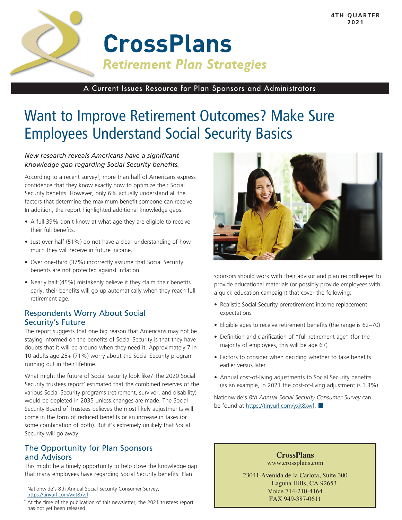

# **CrossPlans Retirement Plan Strategies**

A Current Issues Resource for Plan Sponsors and Administrators

## Want to Improve Retirement Outcomes? Make Sure Employees Understand Social Security Basics

#### *New research reveals Americans have a significant knowledge gap regarding Social Security benefits.*

According to a recent survey<sup>1</sup>, more than half of Americans express confidence that they know exactly how to optimize their Social Security benefits. However, only 6% actually understand all the factors that determine the maximum benefit someone can receive. In addition, the report highlighted additional knowledge gaps:

- A full 39% don't know at what age they are eligible to receive their full benefits.
- Just over half (51%) do not have a clear understanding of how much they will receive in future income.
- Over one-third (37%) incorrectly assume that Social Security benefits are not protected against inflation.
- Nearly half (45%) mistakenly believe if they claim their benefits early, their benefits will go up automatically when they reach full retirement age.

#### Respondents Worry About Social Security's Future

The report suggests that one big reason that Americans may not be staying informed on the benefits of Social Security is that they have doubts that it will be around when they need it. Approximately 7 in 10 adults age 25+ (71%) worry about the Social Security program running out in their lifetime.

What might the future of Social Security look like? The 2020 Social Security trustees report<sup>2</sup> estimated that the combined reserves of the various Social Security programs (retirement, survivor, and disability) would be depleted in 2035 unless changes are made. The Social Security Board of Trustees believes the most likely adjustments will come in the form of reduced benefits or an increase in taxes (or some combination of both). But it's extremely unlikely that Social Security will go away.

### The Opportunity for Plan Sponsors and Advisors

This might be a timely opportunity to help close the knowledge gap that many employees have regarding Social Security benefits. Plan

- <sup>1</sup> Nationwide's 8th Annual Social Security Consumer Survey, https://tinyurl.com/yxjt8xwf
- <sup>2</sup> At the time of the publication of this newsletter, the 2021 trustees report has not yet been released.



sponsors should work with their advisor and plan recordkeeper to provide educational materials (or possibly provide employees with a quick education campaign) that cover the following:

- Realistic Social Security preretirement income replacement expectations
- Eligible ages to receive retirement benefits (the range is 62–70)
- Definition and clarification of "full retirement age" (for the majority of employees, this will be age 67)
- Factors to consider when deciding whether to take benefits earlier versus later
- Annual cost-of-living adjustments to Social Security benefits (as an example, in 2021 the cost-of-living adjustment is 1.3%)

Nationwide's *8th Annual Social Security Consumer Survey* can be found at https://tinyurl.com/yxjt8xwf.

> **CrossPlans** www.crossplans.com

23041 Avenida de la Carlota, Suite 300 Laguna Hills, CA 92653 Voice 714-210-4164 FAX 949-387-0611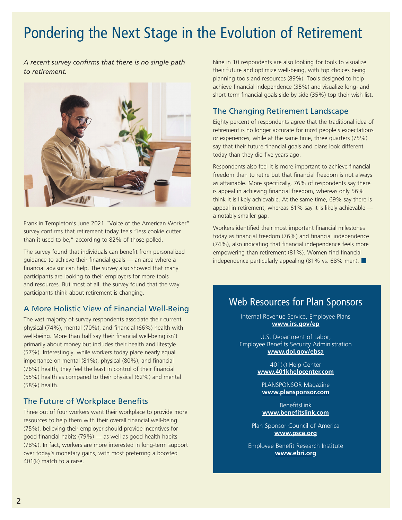## Pondering the Next Stage in the Evolution of Retirement

*A recent survey confirms that there is no single path to retirement.* 



Franklin Templeton's June 2021 "Voice of the American Worker" survey confirms that retirement today feels "less cookie cutter than it used to be," according to 82% of those polled.

The survey found that individuals can benefit from personalized guidance to achieve their financial goals — an area where a financial advisor can help. The survey also showed that many participants are looking to their employers for more tools and resources. But most of all, the survey found that the way participants think about retirement is changing.

#### A More Holistic View of Financial Well-Being

The vast majority of survey respondents associate their current physical (74%), mental (70%), and financial (66%) health with well-being. More than half say their financial well-being isn't primarily about money but includes their health and lifestyle (57%). Interestingly, while workers today place nearly equal importance on mental (81%), physical (80%), and financial (76%) health, they feel the least in control of their financial (55%) health as compared to their physical (62%) and mental (58%) health.

### The Future of Workplace Benefits

Three out of four workers want their workplace to provide more resources to help them with their overall financial well-being (75%), believing their employer should provide incentives for good financial habits (79%) — as well as good health habits (78%). In fact, workers are more interested in long-term support over today's monetary gains, with most preferring a boosted 401(k) match to a raise.

Nine in 10 respondents are also looking for tools to visualize their future and optimize well-being, with top choices being planning tools and resources (89%). Tools designed to help achieve financial independence (35%) and visualize long- and short-term financial goals side by side (35%) top their wish list.

### The Changing Retirement Landscape

Eighty percent of respondents agree that the traditional idea of retirement is no longer accurate for most people's expectations or experiences, while at the same time, three quarters (75%) say that their future financial goals and plans look different today than they did five years ago.

Respondents also feel it is more important to achieve financial freedom than to retire but that financial freedom is not always as attainable. More specifically, 76% of respondents say there is appeal in achieving financial freedom, whereas only 56% think it is likely achievable. At the same time, 69% say there is appeal in retirement, whereas 61% say it is likely achievable a notably smaller gap.

Workers identified their most important financial milestones today as financial freedom (76%) and financial independence (74%), also indicating that financial independence feels more empowering than retirement (81%). Women find financial independence particularly appealing (81% vs. 68% men).

### Web Resources for Plan Sponsors

Internal Revenue Service, Employee Plans **www.irs.gov/ep**

U.S. Department of Labor, Employee Benefits Security Administration **www.dol.gov/ebsa**

> 401(k) Help Center **www.401khelpcenter.com**

PLANSPONSOR Magazine **www.plansponsor.com**

BenefitsLink **www.benefitslink.com**

Plan Sponsor Council of America **www.psca.org**

Employee Benefit Research Institute **www.ebri.org**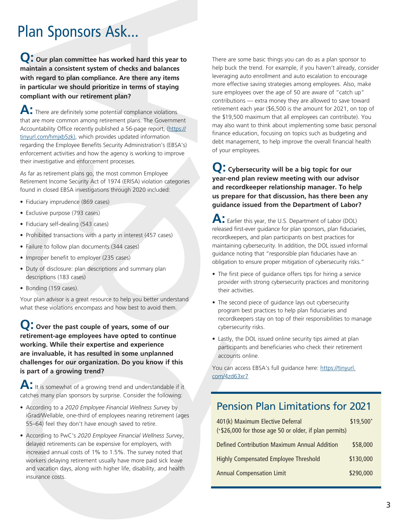# Plan Sponsors Ask...

**Q: Our plan committee has worked hard this year to maintain a consistent system of checks and balances with regard to plan compliance. Are there any items in particular we should prioritize in terms of staying compliant with our retirement plan?**

A: There are definitely some potential compliance violations that are more common among retirement plans. The Government Accountability Office recently published a 56-page report, (https:// tinyurl.com/hmjxb5zk), which provides updated information regarding the Employee Benefits Security Administration's (EBSA's) enforcement activities and how the agency is working to improve their investigative and enforcement processes.

As far as retirement plans go, the most common Employee Retirement Income Security Act of 1974 (ERISA) violation categories found in closed EBSA investigations through 2020 included:

- Fiduciary imprudence (869 cases)
- Exclusive purpose (793 cases)
- Fiduciary self-dealing (543 cases)
- Prohibited transactions with a party in interest (457 cases)
- Failure to follow plan documents (344 cases)
- Improper benefit to employer (235 cases)
- Duty of disclosure: plan descriptions and summary plan descriptions (183 cases)
- Bonding (159 cases).

Your plan advisor is a great resource to help you better understand what these violations encompass and how best to avoid them.

**Q: Over the past couple of years, some of our retirement-age employees have opted to continue working. While their expertise and experience are invaluable, it has resulted in some unplanned challenges for our organization. Do you know if this is part of a growing trend?**

**A:** It is somewhat of a growing trend and understandable if it catches many plan sponsors by surprise. Consider the following:

- According to a *2020 Employee Financial Wellness Survey* by iGrad/Wellable, one-third of employees nearing retirement (ages 55–64) feel they don't have enough saved to retire.
- According to PwC's *2020 Employee Financial Wellness Survey*, delayed retirements can be expensive for employers, with increased annual costs of 1% to 1.5%. The survey noted that workers delaying retirement usually have more paid sick leave and vacation days, along with higher life, disability, and health insurance costs.

There are some basic things you can do as a plan sponsor to help buck the trend. For example, if you haven't already, consider leveraging auto enrollment and auto escalation to encourage more effective saving strategies among employees. Also, make sure employees over the age of 50 are aware of "catch up" contributions — extra money they are allowed to save toward retirement each year (\$6,500 is the amount for 2021, on top of the \$19,500 maximum that all employees can contribute). You may also want to think about implementing some basic personal finance education, focusing on topics such as budgeting and debt management, to help improve the overall financial health of your employees.

**Q: Cybersecurity will be a big topic for our year-end plan review meeting with our advisor and recordkeeper relationship manager. To help us prepare for that discussion, has there been any guidance issued from the Department of Labor?** 

**A:** Earlier this year, the U.S. Department of Labor (DOL) released first-ever guidance for plan sponsors, plan fiduciaries, recordkeepers, and plan participants on best practices for maintaining cybersecurity. In addition, the DOL issued informal guidance noting that "responsible plan fiduciaries have an obligation to ensure proper mitigation of cybersecurity risks."

- The first piece of guidance offers tips for hiring a service provider with strong cybersecurity practices and monitoring their activities.
- The second piece of quidance lays out cybersecurity program best practices to help plan fiduciaries and recordkeepers stay on top of their responsibilities to manage cybersecurity risks.
- Lastly, the DOL issued online security tips aimed at plan participants and beneficiaries who check their retirement accounts online.

You can access EBSA's full guidance here: https://tinyurl. com/4zd63xr7

### Pension Plan Limitations for 2021

| 401(k) Maximum Elective Deferral                       | \$19,500* |
|--------------------------------------------------------|-----------|
| (*\$26,000 for those age 50 or older, if plan permits) |           |
| Defined Contribution Maximum Annual Addition           | \$58,000  |
| <b>Highly Compensated Employee Threshold</b>           | \$130,000 |
| <b>Annual Compensation Limit</b>                       | \$290,000 |